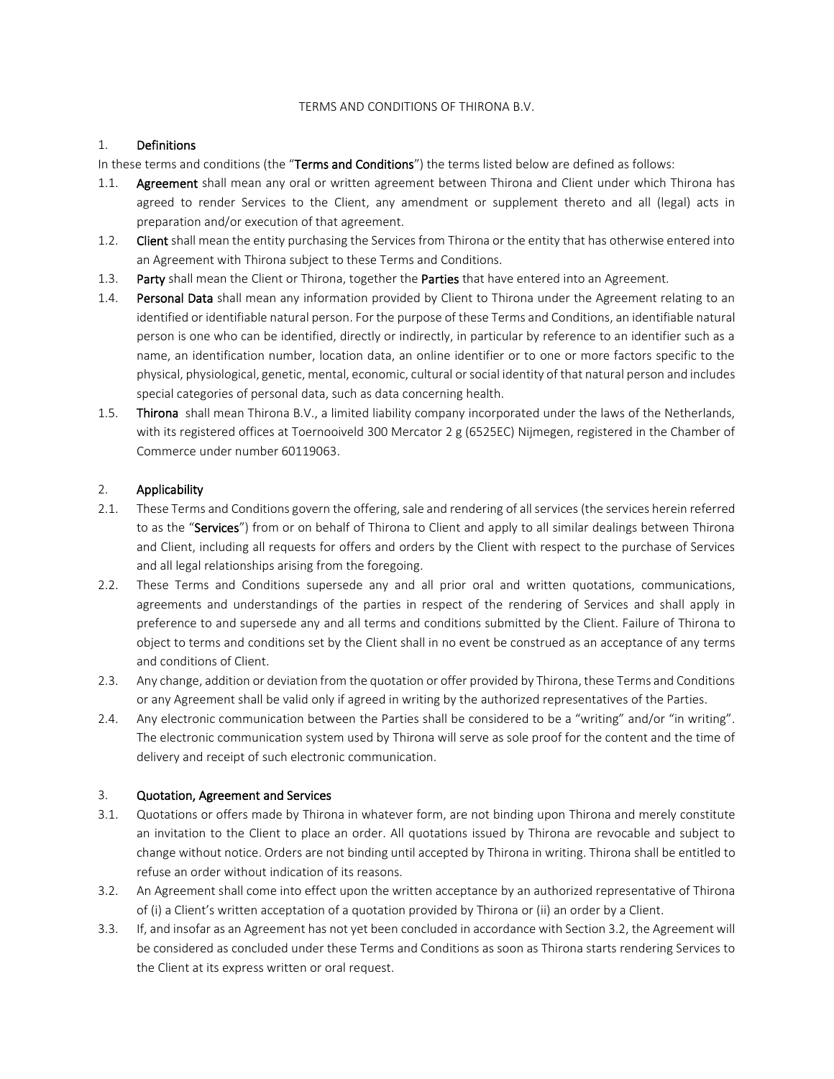#### TERMS AND CONDITIONS OF THIRONA B.V.

## 1. Definitions

In these terms and conditions (the "Terms and Conditions") the terms listed below are defined as follows:

- 1.1. Agreement shall mean any oral or written agreement between Thirona and Client under which Thirona has agreed to render Services to the Client, any amendment or supplement thereto and all (legal) acts in preparation and/or execution of that agreement.
- 1.2. Client shall mean the entity purchasing the Services from Thirona or the entity that has otherwise entered into an Agreement with Thirona subject to these Terms and Conditions.
- 1.3. Party shall mean the Client or Thirona, together the Parties that have entered into an Agreement.
- 1.4. Personal Data shall mean any information provided by Client to Thirona under the Agreement relating to an identified or identifiable natural person. For the purpose of these Terms and Conditions, an identifiable natural person is one who can be identified, directly or indirectly, in particular by reference to an identifier such as a name, an identification number, location data, an online identifier or to one or more factors specific to the physical, physiological, genetic, mental, economic, cultural or social identity of that natural person and includes special categories of personal data, such as data concerning health.
- 1.5. Thirona shall mean Thirona B.V., a limited liability company incorporated under the laws of the Netherlands, with its registered offices at Toernooiveld 300 Mercator 2 g (6525EC) Nijmegen, registered in the Chamber of Commerce under number 60119063.

# 2. Applicability

- 2.1. These Terms and Conditions govern the offering, sale and rendering of all services (the services herein referred to as the "Services") from or on behalf of Thirona to Client and apply to all similar dealings between Thirona and Client, including all requests for offers and orders by the Client with respect to the purchase of Services and all legal relationships arising from the foregoing.
- 2.2. These Terms and Conditions supersede any and all prior oral and written quotations, communications, agreements and understandings of the parties in respect of the rendering of Services and shall apply in preference to and supersede any and all terms and conditions submitted by the Client. Failure of Thirona to object to terms and conditions set by the Client shall in no event be construed as an acceptance of any terms and conditions of Client.
- 2.3. Any change, addition or deviation from the quotation or offer provided by Thirona, these Terms and Conditions or any Agreement shall be valid only if agreed in writing by the authorized representatives of the Parties.
- 2.4. Any electronic communication between the Parties shall be considered to be a "writing" and/or "in writing". The electronic communication system used by Thirona will serve as sole proof for the content and the time of delivery and receipt of such electronic communication.

### 3. Quotation, Agreement and Services

- 3.1. Quotations or offers made by Thirona in whatever form, are not binding upon Thirona and merely constitute an invitation to the Client to place an order. All quotations issued by Thirona are revocable and subject to change without notice. Orders are not binding until accepted by Thirona in writing. Thirona shall be entitled to refuse an order without indication of its reasons.
- 3.2. An Agreement shall come into effect upon the written acceptance by an authorized representative of Thirona of (i) a Client's written acceptation of a quotation provided by Thirona or (ii) an order by a Client.
- 3.3. If, and insofar as an Agreement has not yet been concluded in accordance with Section 3.2, the Agreement will be considered as concluded under these Terms and Conditions as soon as Thirona starts rendering Services to the Client at its express written or oral request.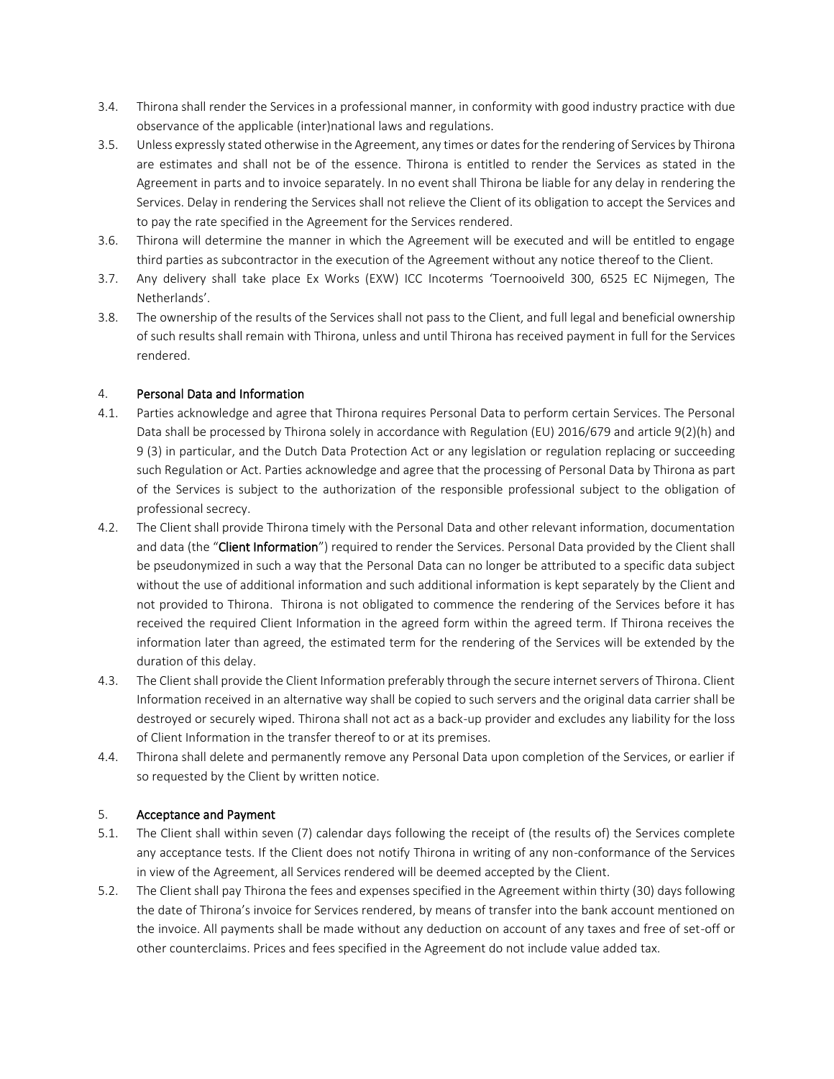- 3.4. Thirona shall render the Services in a professional manner, in conformity with good industry practice with due observance of the applicable (inter)national laws and regulations.
- 3.5. Unless expressly stated otherwise in the Agreement, any times or dates for the rendering of Services by Thirona are estimates and shall not be of the essence. Thirona is entitled to render the Services as stated in the Agreement in parts and to invoice separately. In no event shall Thirona be liable for any delay in rendering the Services. Delay in rendering the Services shall not relieve the Client of its obligation to accept the Services and to pay the rate specified in the Agreement for the Services rendered.
- 3.6. Thirona will determine the manner in which the Agreement will be executed and will be entitled to engage third parties as subcontractor in the execution of the Agreement without any notice thereof to the Client.
- 3.7. Any delivery shall take place Ex Works (EXW) ICC Incoterms 'Toernooiveld 300, 6525 EC Nijmegen, The Netherlands'.
- 3.8. The ownership of the results of the Services shall not pass to the Client, and full legal and beneficial ownership of such results shall remain with Thirona, unless and until Thirona has received payment in full for the Services rendered.

### 4. Personal Data and Information

- 4.1. Parties acknowledge and agree that Thirona requires Personal Data to perform certain Services. The Personal Data shall be processed by Thirona solely in accordance with Regulation (EU) 2016/679 and article 9(2)(h) and 9 (3) in particular, and the Dutch Data Protection Act or any legislation or regulation replacing or succeeding such Regulation or Act. Parties acknowledge and agree that the processing of Personal Data by Thirona as part of the Services is subject to the authorization of the responsible professional subject to the obligation of professional secrecy.
- 4.2. The Client shall provide Thirona timely with the Personal Data and other relevant information, documentation and data (the "Client Information") required to render the Services. Personal Data provided by the Client shall be pseudonymized in such a way that the Personal Data can no longer be attributed to a specific data subject without the use of additional information and such additional information is kept separately by the Client and not provided to Thirona. Thirona is not obligated to commence the rendering of the Services before it has received the required Client Information in the agreed form within the agreed term. If Thirona receives the information later than agreed, the estimated term for the rendering of the Services will be extended by the duration of this delay.
- 4.3. The Client shall provide the Client Information preferably through the secure internet servers of Thirona. Client Information received in an alternative way shall be copied to such servers and the original data carrier shall be destroyed or securely wiped. Thirona shall not act as a back-up provider and excludes any liability for the loss of Client Information in the transfer thereof to or at its premises.
- 4.4. Thirona shall delete and permanently remove any Personal Data upon completion of the Services, or earlier if so requested by the Client by written notice.

#### 5. Acceptance and Payment

- 5.1. The Client shall within seven (7) calendar days following the receipt of (the results of) the Services complete any acceptance tests. If the Client does not notify Thirona in writing of any non-conformance of the Services in view of the Agreement, all Services rendered will be deemed accepted by the Client.
- 5.2. The Client shall pay Thirona the fees and expenses specified in the Agreement within thirty (30) days following the date of Thirona's invoice for Services rendered, by means of transfer into the bank account mentioned on the invoice. All payments shall be made without any deduction on account of any taxes and free of set-off or other counterclaims. Prices and fees specified in the Agreement do not include value added tax.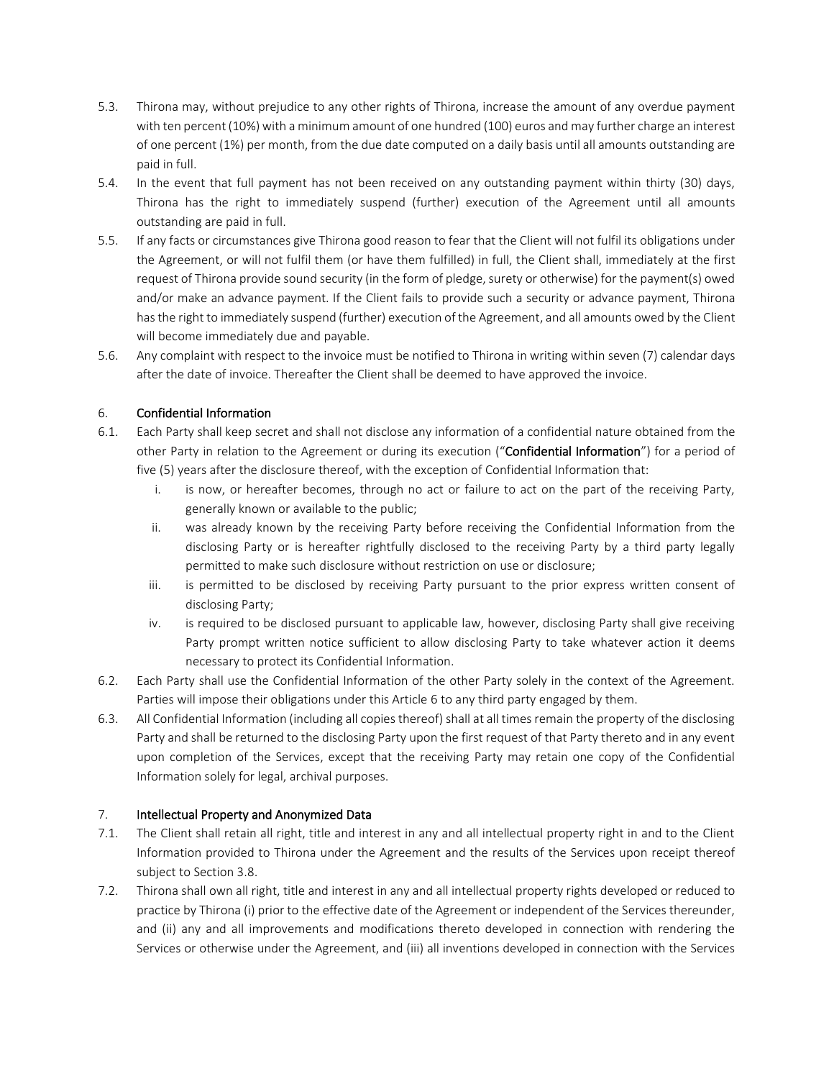- 5.3. Thirona may, without prejudice to any other rights of Thirona, increase the amount of any overdue payment with ten percent (10%) with a minimum amount of one hundred (100) euros and may further charge an interest of one percent (1%) per month, from the due date computed on a daily basis until all amounts outstanding are paid in full.
- 5.4. In the event that full payment has not been received on any outstanding payment within thirty (30) days, Thirona has the right to immediately suspend (further) execution of the Agreement until all amounts outstanding are paid in full.
- 5.5. If any facts or circumstances give Thirona good reason to fear that the Client will not fulfil its obligations under the Agreement, or will not fulfil them (or have them fulfilled) in full, the Client shall, immediately at the first request of Thirona provide sound security (in the form of pledge, surety or otherwise) for the payment(s) owed and/or make an advance payment. If the Client fails to provide such a security or advance payment, Thirona has the right to immediately suspend (further) execution of the Agreement, and all amounts owed by the Client will become immediately due and payable.
- 5.6. Any complaint with respect to the invoice must be notified to Thirona in writing within seven (7) calendar days after the date of invoice. Thereafter the Client shall be deemed to have approved the invoice.

# 6. Confidential Information

- 6.1. Each Party shall keep secret and shall not disclose any information of a confidential nature obtained from the other Party in relation to the Agreement or during its execution ("Confidential Information") for a period of five (5) years after the disclosure thereof, with the exception of Confidential Information that:
	- i. is now, or hereafter becomes, through no act or failure to act on the part of the receiving Party, generally known or available to the public;
	- ii. was already known by the receiving Party before receiving the Confidential Information from the disclosing Party or is hereafter rightfully disclosed to the receiving Party by a third party legally permitted to make such disclosure without restriction on use or disclosure;
	- iii. is permitted to be disclosed by receiving Party pursuant to the prior express written consent of disclosing Party;
	- iv. is required to be disclosed pursuant to applicable law, however, disclosing Party shall give receiving Party prompt written notice sufficient to allow disclosing Party to take whatever action it deems necessary to protect its Confidential Information.
- 6.2. Each Party shall use the Confidential Information of the other Party solely in the context of the Agreement. Parties will impose their obligations under this Article 6 to any third party engaged by them.
- 6.3. All Confidential Information (including all copies thereof) shall at all times remain the property of the disclosing Party and shall be returned to the disclosing Party upon the first request of that Party thereto and in any event upon completion of the Services, except that the receiving Party may retain one copy of the Confidential Information solely for legal, archival purposes.

### 7. Intellectual Property and Anonymized Data

- 7.1. The Client shall retain all right, title and interest in any and all intellectual property right in and to the Client Information provided to Thirona under the Agreement and the results of the Services upon receipt thereof subject to Section 3.8.
- 7.2. Thirona shall own all right, title and interest in any and all intellectual property rights developed or reduced to practice by Thirona (i) prior to the effective date of the Agreement or independent of the Services thereunder, and (ii) any and all improvements and modifications thereto developed in connection with rendering the Services or otherwise under the Agreement, and (iii) all inventions developed in connection with the Services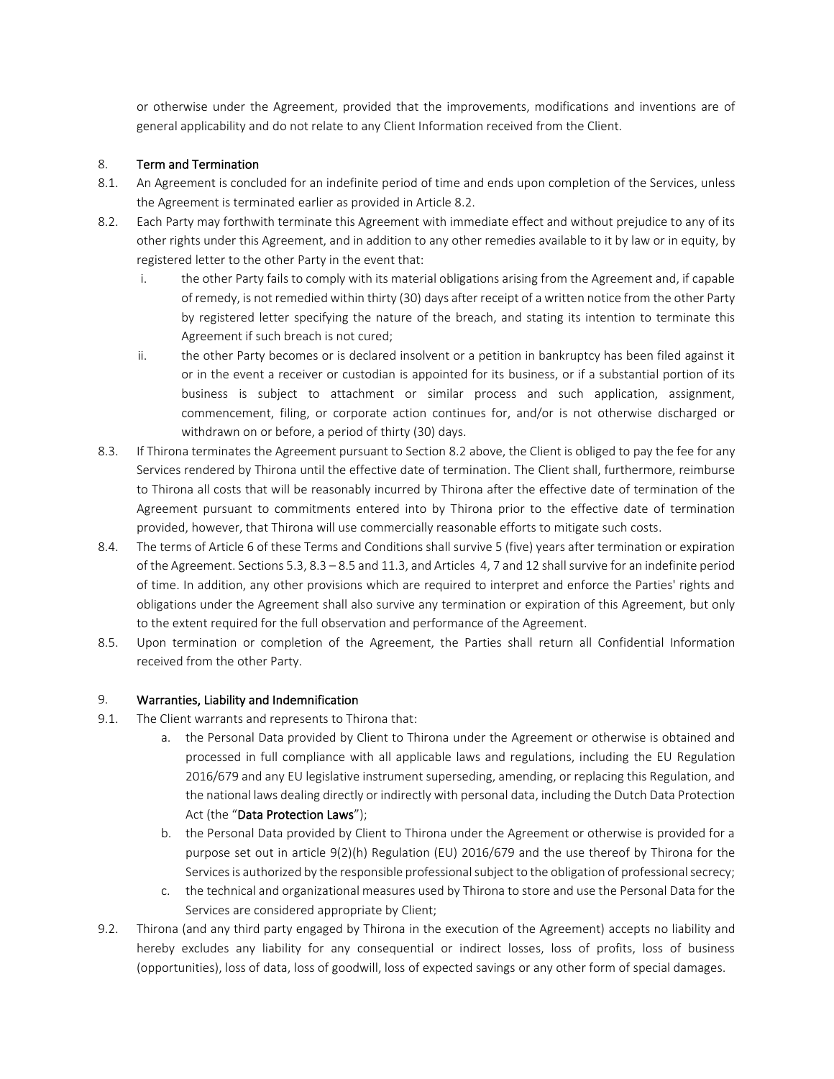or otherwise under the Agreement, provided that the improvements, modifications and inventions are of general applicability and do not relate to any Client Information received from the Client.

## 8. Term and Termination

- 8.1. An Agreement is concluded for an indefinite period of time and ends upon completion of the Services, unless the Agreement is terminated earlier as provided in Article 8.2.
- 8.2. Each Party may forthwith terminate this Agreement with immediate effect and without prejudice to any of its other rights under this Agreement, and in addition to any other remedies available to it by law or in equity, by registered letter to the other Party in the event that:
	- i. the other Party fails to comply with its material obligations arising from the Agreement and, if capable of remedy, is not remedied within thirty (30) days after receipt of a written notice from the other Party by registered letter specifying the nature of the breach, and stating its intention to terminate this Agreement if such breach is not cured;
	- ii. the other Party becomes or is declared insolvent or a petition in bankruptcy has been filed against it or in the event a receiver or custodian is appointed for its business, or if a substantial portion of its business is subject to attachment or similar process and such application, assignment, commencement, filing, or corporate action continues for, and/or is not otherwise discharged or withdrawn on or before, a period of thirty (30) days.
- 8.3. If Thirona terminates the Agreement pursuant to Section 8.2 above, the Client is obliged to pay the fee for any Services rendered by Thirona until the effective date of termination. The Client shall, furthermore, reimburse to Thirona all costs that will be reasonably incurred by Thirona after the effective date of termination of the Agreement pursuant to commitments entered into by Thirona prior to the effective date of termination provided, however, that Thirona will use commercially reasonable efforts to mitigate such costs.
- 8.4. The terms of Article 6 of these Terms and Conditions shall survive 5 (five) years after termination or expiration of the Agreement. Sections 5.3, 8.3 – 8.5 and 11.3, and Articles 4, 7 and 12 shall survive for an indefinite period of time. In addition, any other provisions which are required to interpret and enforce the Parties' rights and obligations under the Agreement shall also survive any termination or expiration of this Agreement, but only to the extent required for the full observation and performance of the Agreement.
- 8.5. Upon termination or completion of the Agreement, the Parties shall return all Confidential Information received from the other Party.

### 9. Warranties, Liability and Indemnification

- 9.1. The Client warrants and represents to Thirona that:
	- a. the Personal Data provided by Client to Thirona under the Agreement or otherwise is obtained and processed in full compliance with all applicable laws and regulations, including the EU Regulation 2016/679 and any EU legislative instrument superseding, amending, or replacing this Regulation, and the national laws dealing directly or indirectly with personal data, including the Dutch Data Protection Act (the "Data Protection Laws");
	- b. the Personal Data provided by Client to Thirona under the Agreement or otherwise is provided for a purpose set out in article 9(2)(h) Regulation (EU) 2016/679 and the use thereof by Thirona for the Services is authorized by the responsible professional subject to the obligation of professional secrecy;
	- c. the technical and organizational measures used by Thirona to store and use the Personal Data for the Services are considered appropriate by Client;
- 9.2. Thirona (and any third party engaged by Thirona in the execution of the Agreement) accepts no liability and hereby excludes any liability for any consequential or indirect losses, loss of profits, loss of business (opportunities), loss of data, loss of goodwill, loss of expected savings or any other form of special damages.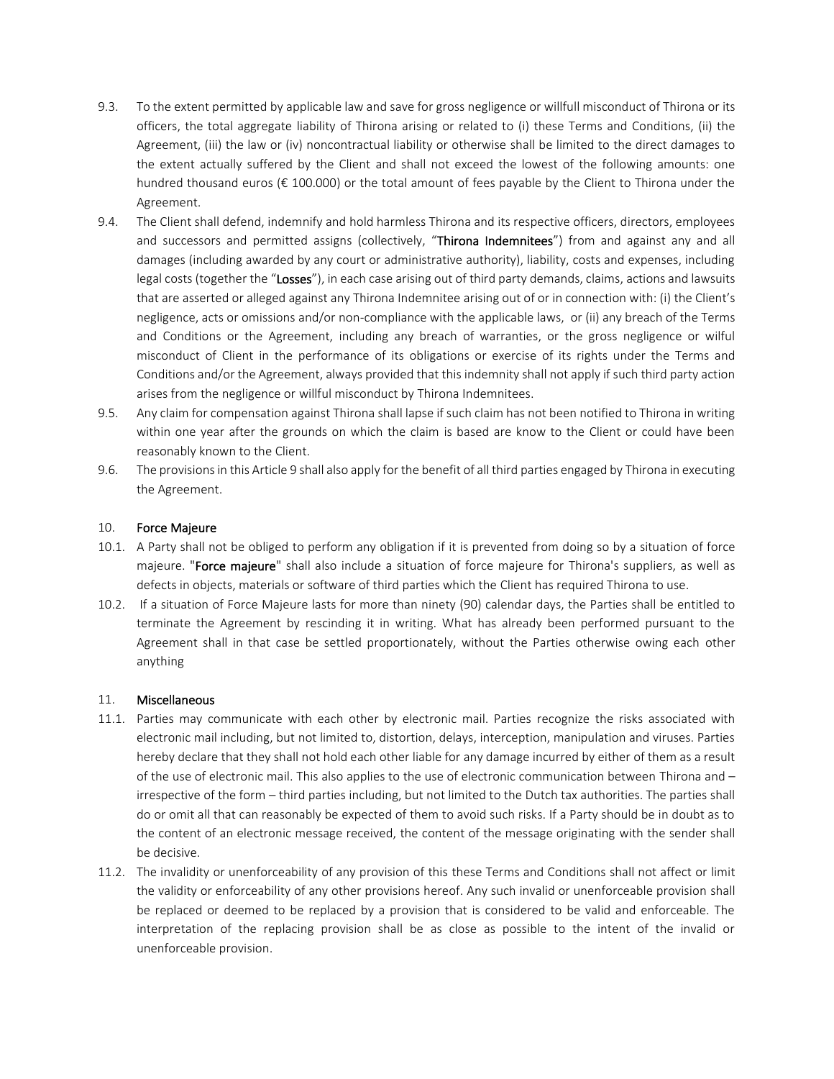- 9.3. To the extent permitted by applicable law and save for gross negligence or willfull misconduct of Thirona or its officers, the total aggregate liability of Thirona arising or related to (i) these Terms and Conditions, (ii) the Agreement, (iii) the law or (iv) noncontractual liability or otherwise shall be limited to the direct damages to the extent actually suffered by the Client and shall not exceed the lowest of the following amounts: one hundred thousand euros (€ 100.000) or the total amount of fees payable by the Client to Thirona under the Agreement.
- 9.4. The Client shall defend, indemnify and hold harmless Thirona and its respective officers, directors, employees and successors and permitted assigns (collectively, "Thirona Indemnitees") from and against any and all damages (including awarded by any court or administrative authority), liability, costs and expenses, including legal costs (together the "Losses"), in each case arising out of third party demands, claims, actions and lawsuits that are asserted or alleged against any Thirona Indemnitee arising out of or in connection with: (i) the Client's negligence, acts or omissions and/or non-compliance with the applicable laws, or (ii) any breach of the Terms and Conditions or the Agreement, including any breach of warranties, or the gross negligence or wilful misconduct of Client in the performance of its obligations or exercise of its rights under the Terms and Conditions and/or the Agreement, always provided that this indemnity shall not apply if such third party action arises from the negligence or willful misconduct by Thirona Indemnitees.
- 9.5. Any claim for compensation against Thirona shall lapse if such claim has not been notified to Thirona in writing within one year after the grounds on which the claim is based are know to the Client or could have been reasonably known to the Client.
- 9.6. The provisions in this Article 9 shall also apply for the benefit of all third parties engaged by Thirona in executing the Agreement.

#### 10. Force Majeure

- 10.1. A Party shall not be obliged to perform any obligation if it is prevented from doing so by a situation of force majeure. "Force majeure" shall also include a situation of force majeure for Thirona's suppliers, as well as defects in objects, materials or software of third parties which the Client has required Thirona to use.
- 10.2. If a situation of Force Majeure lasts for more than ninety (90) calendar days, the Parties shall be entitled to terminate the Agreement by rescinding it in writing. What has already been performed pursuant to the Agreement shall in that case be settled proportionately, without the Parties otherwise owing each other anything

### 11. Miscellaneous

- 11.1. Parties may communicate with each other by electronic mail. Parties recognize the risks associated with electronic mail including, but not limited to, distortion, delays, interception, manipulation and viruses. Parties hereby declare that they shall not hold each other liable for any damage incurred by either of them as a result of the use of electronic mail. This also applies to the use of electronic communication between Thirona and – irrespective of the form – third parties including, but not limited to the Dutch tax authorities. The parties shall do or omit all that can reasonably be expected of them to avoid such risks. If a Party should be in doubt as to the content of an electronic message received, the content of the message originating with the sender shall be decisive.
- 11.2. The invalidity or unenforceability of any provision of this these Terms and Conditions shall not affect or limit the validity or enforceability of any other provisions hereof. Any such invalid or unenforceable provision shall be replaced or deemed to be replaced by a provision that is considered to be valid and enforceable. The interpretation of the replacing provision shall be as close as possible to the intent of the invalid or unenforceable provision.